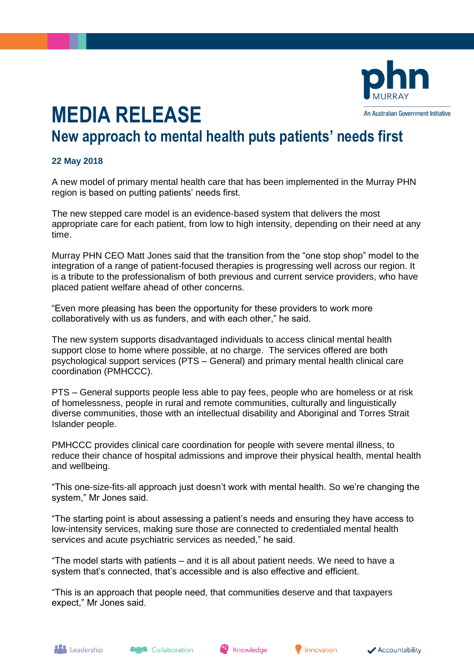

## **MEDIA RELEASE**

## **New approach to mental health puts patients' needs first**

## **22 May 2018**

A new model of primary mental health care that has been implemented in the Murray PHN region is based on putting patients' needs first.

The new stepped care model is an evidence-based system that delivers the most appropriate care for each patient, from low to high intensity, depending on their need at any time.

Murray PHN CEO Matt Jones said that the transition from the "one stop shop" model to the integration of a range of patient-focused therapies is progressing well across our region. It is a tribute to the professionalism of both previous and current service providers, who have placed patient welfare ahead of other concerns.

"Even more pleasing has been the opportunity for these providers to work more collaboratively with us as funders, and with each other," he said.

The new system supports disadvantaged individuals to access clinical mental health support close to home where possible, at no charge. The services offered are both psychological support services (PTS – General) and primary mental health clinical care coordination (PMHCCC).

PTS – General supports people less able to pay fees, people who are homeless or at risk of homelessness, people in rural and remote communities, culturally and linguistically diverse communities, those with an intellectual disability and Aboriginal and Torres Strait Islander people.

PMHCCC provides clinical care coordination for people with severe mental illness, to reduce their chance of hospital admissions and improve their physical health, mental health and wellbeing.

"This one-size-fits-all approach just doesn't work with mental health. So we're changing the system," Mr Jones said.

"The starting point is about assessing a patient's needs and ensuring they have access to low-intensity services, making sure those are connected to credentialed mental health services and acute psychiatric services as needed," he said.

"The model starts with patients – and it is all about patient needs. We need to have a system that's connected, that's accessible and is also effective and efficient.

"This is an approach that people need, that communities deserve and that taxpayers expect," Mr Jones said.